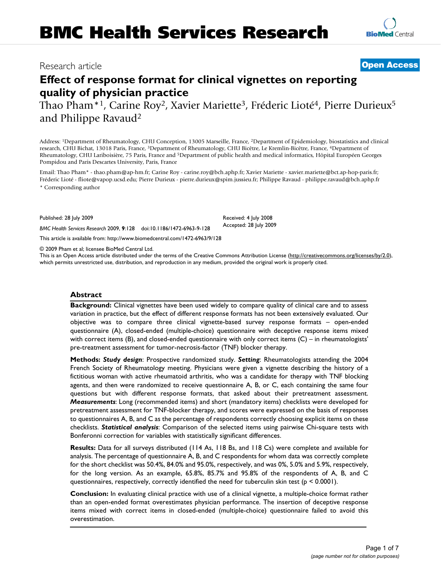# **[Open Access](http://www.biomedcentral.com/info/about/charter/)**

**[BioMed](http://www.biomedcentral.com/)** Central

# **Effect of response format for clinical vignettes on reporting quality of physician practice**

Thao Pham\*<sup>1</sup>, Carine Roy<sup>2</sup>, Xavier Mariette<sup>3</sup>, Fréderic Lioté<sup>4</sup>, Pierre Durieux<sup>5</sup> and Philippe Ravaud2

Address: 1Department of Rheumatology, CHU Conception, 13005 Marseille, France, 2Department of Epidemiology, biostatistics and clinical research, CHU Bichat, 13018 Paris, France, 3Department of Rheumatology, CHU Bicêtre, Le Kremlin-Bicêtre, France, 4Department of Rheumatology, CHU Lariboisière, 75 Paris, France and 5Department of public health and medical informatics, Hôpital Européen Georges Pompidou and Paris Descartes University, Paris, France

Email: Thao Pham\* - thao.pham@ap-hm.fr; Carine Roy - carine.roy@bch.aphp.fr; Xavier Mariette - xavier.mariette@bct.ap-hop-paris.fr; Fréderic Lioté - fliote@vapop.ucsd.edu; Pierre Durieux - pierre.durieux@spim.jussieu.fr; Philippe Ravaud - philippe.ravaud@bch.aphp.fr \* Corresponding author

Published: 28 July 2009

*BMC Health Services Research* 2009, **9**:128 doi:10.1186/1472-6963-9-128

[This article is available from: http://www.biomedcentral.com/1472-6963/9/128](http://www.biomedcentral.com/1472-6963/9/128)

© 2009 Pham et al; licensee BioMed Central Ltd.

This is an Open Access article distributed under the terms of the Creative Commons Attribution License [\(http://creativecommons.org/licenses/by/2.0\)](http://creativecommons.org/licenses/by/2.0), which permits unrestricted use, distribution, and reproduction in any medium, provided the original work is properly cited.

Received: 4 July 2008 Accepted: 28 July 2009

## **Abstract**

**Background:** Clinical vignettes have been used widely to compare quality of clinical care and to assess variation in practice, but the effect of different response formats has not been extensively evaluated. Our objective was to compare three clinical vignette-based survey response formats – open-ended questionnaire (A), closed-ended (multiple-choice) questionnaire with deceptive response items mixed with correct items (B), and closed-ended questionnaire with only correct items (C) – in rheumatologists' pre-treatment assessment for tumor-necrosis-factor (TNF) blocker therapy.

**Methods:** *Study design*: Prospective randomized study. *Setting*: Rheumatologists attending the 2004 French Society of Rheumatology meeting. Physicians were given a vignette describing the history of a fictitious woman with active rheumatoid arthritis, who was a candidate for therapy with TNF blocking agents, and then were randomized to receive questionnaire A, B, or C, each containing the same four questions but with different response formats, that asked about their pretreatment assessment. *Measurements*: Long (recommended items) and short (mandatory items) checklists were developed for pretreatment assessment for TNF-blocker therapy, and scores were expressed on the basis of responses to questionnaires A, B, and C as the percentage of respondents correctly choosing explicit items on these checklists. *Statistical analysis*: Comparison of the selected items using pairwise Chi-square tests with Bonferonni correction for variables with statistically significant differences.

**Results:** Data for all surveys distributed (114 As, 118 Bs, and 118 Cs) were complete and available for analysis. The percentage of questionnaire A, B, and C respondents for whom data was correctly complete for the short checklist was 50.4%, 84.0% and 95.0%, respectively, and was 0%, 5.0% and 5.9%, respectively, for the long version. As an example, 65.8%, 85.7% and 95.8% of the respondents of A, B, and C questionnaires, respectively, correctly identified the need for tuberculin skin test ( $p < 0.0001$ ).

**Conclusion:** In evaluating clinical practice with use of a clinical vignette, a multiple-choice format rather than an open-ended format overestimates physician performance. The insertion of deceptive response items mixed with correct items in closed-ended (multiple-choice) questionnaire failed to avoid this overestimation.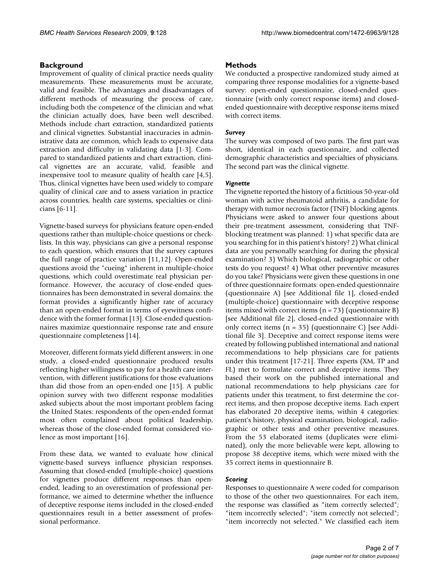# **Background**

Improvement of quality of clinical practice needs quality measurements. These measurements must be accurate, valid and feasible. The advantages and disadvantages of different methods of measuring the process of care, including both the competence of the clinician and what the clinician actually does, have been well described. Methods include chart extraction, standardized patients and clinical vignettes. Substantial inaccuracies in administrative data are common, which leads to expensive data extraction and difficulty in validating data [\[1](#page-6-0)-[3\]](#page-6-1). Compared to standardized patients and chart extraction, clinical vignettes are an accurate, valid, feasible and inexpensive tool to measure quality of health care [[4](#page-6-2),[5](#page-6-3)]. Thus, clinical vignettes have been used widely to compare quality of clinical care and to assess variation in practice across countries, health care systems, specialties or clinicians [\[6-](#page-6-4)[11\]](#page-6-5).

Vignette-based surveys for physicians feature open-ended questions rather than multiple-choice questions or checklists. In this way, physicians can give a personal response to each question, which ensures that the survey captures the full range of practice variation [[11](#page-6-5),[12\]](#page-6-6). Open-ended questions avoid the "cueing" inherent in multiple-choice questions, which could overestimate real physician performance. However, the accuracy of close-ended questionnaires has been demonstrated in several domains: the format provides a significantly higher rate of accuracy than an open-ended format in terms of eyewitness confidence with the former format [[13\]](#page-6-7). Close-ended questionnaires maximize questionnaire response rate and ensure questionnaire completeness [\[14](#page-6-8)].

Moreover, different formats yield different answers: in one study, a closed-ended questionnaire produced results reflecting higher willingness to pay for a health care intervention, with different justifications for those evaluations than did those from an open-ended one [[15\]](#page-6-9). A public opinion survey with two different response modalities asked subjects about the most important problem facing the United States: respondents of the open-ended format most often complained about political leadership, whereas those of the close-ended format considered violence as most important [[16\]](#page-6-10).

From these data, we wanted to evaluate how clinical vignette-based surveys influence physician responses. Assuming that closed-ended (multiple-choice) questions for vignettes produce different responses than openended, leading to an overestimation of professional performance, we aimed to determine whether the influence of deceptive response items included in the closed-ended questionnaires result in a better assessment of professional performance.

# **Methods**

We conducted a prospective randomized study aimed at comparing three response modalities for a vignette-based survey: open-ended questionnaire, closed-ended questionnaire (with only correct response items) and closedended questionnaire with deceptive response items mixed with correct items.

## *Survey*

The survey was composed of two parts. The first part was short, identical in each questionnaire, and collected demographic characteristics and specialties of physicians. The second part was the clinical vignette.

## *Vignette*

The vignette reported the history of a fictitious 50-year-old woman with active rheumatoid arthritis, a candidate for therapy with tumor necrosis factor (TNF) blocking agents. Physicians were asked to answer four questions about their pre-treatment assessment, considering that TNFblocking treatment was planned: 1) what specific data are you searching for in this patient's history? 2) What clinical data are you personally searching for during the physical examination? 3) Which biological, radiographic or other tests do you request? 4) What other preventive measures do you take? Physicians were given these questions in one of three questionnaire formats: open-ended questionnaire (questionnaire A) [see Additional file [1\]](#page-5-0), closed-ended (multiple-choice) questionnaire with deceptive response items mixed with correct items (n = 73) (questionnaire B) [see Additional file [2](#page-5-1)], closed-ended questionnaire with only correct items  $(n = 35)$  (questionnaire C) [see Additional file [3](#page-5-2)]. Deceptive and correct response items were created by following published international and national recommendations to help physicians care for patients under this treatment [[17-](#page-6-11)[21\]](#page-6-12). Three experts (XM, TP and FL) met to formulate correct and deceptive items. They based their work on the published international and national recommendations to help physicians care for patients under this treatment, to first determine the correct items, and then propose deceptive items. Each expert has elaborated 20 deceptive items, within 4 categories: patient's history, physical examination, biological, radiographic or other tests and other preventive measures. From the 53 elaborated items (duplicates were eliminated), only the more believable were kept, allowing to propose 38 deceptive items, which were mixed with the 35 correct items in questionnaire B.

## *Scoring*

Responses to questionnaire A were coded for comparison to those of the other two questionnaires. For each item, the response was classified as "item correctly selected"; "item incorrectly selected"; "item correctly not selected"; "item incorrectly not selected." We classified each item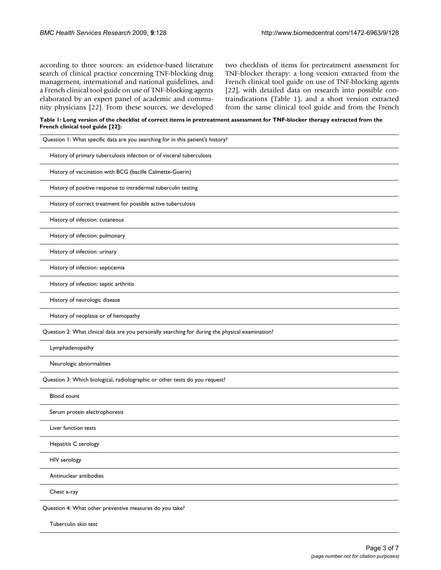according to three sources: an evidence-based literature search of clinical practice concerning TNF-blocking drug management, international and national guidelines, and a French clinical tool guide on use of TNF-blocking agents elaborated by an expert panel of academic and community physicians [[22\]](#page-6-13). From these sources, we developed two checklists of items for pretreatment assessment for TNF-blocker therapy: a long version extracted from the French clinical tool guide on use of TNF-blocking agents [[22](#page-6-13)], with detailed data on research into possible contraindications (Table [1](#page-2-0)), and a short version extracted from the same clinical tool guide and from the French

<span id="page-2-0"></span>**Table 1: Long version of the checklist of correct items in pretreatment assessment for TNF-blocker therapy extracted from the French clinical tool guide [\[22](#page-6-13)]:**

| Question 1: What specific data are you searching for in this patient's history?                  |
|--------------------------------------------------------------------------------------------------|
| History of primary tuberculosis infection or of visceral tuberculosis                            |
| History of vaccination with BCG (bacille Calmette-Guerin)                                        |
| History of positive response to intradermal tuberculin testing                                   |
| History of correct treatment for possible active tuberculosis                                    |
| History of infection: cutaneous                                                                  |
| History of infection: pulmonary                                                                  |
| History of infection: urinary                                                                    |
| History of infection: septicemia                                                                 |
| History of infection: septic arthritis                                                           |
| History of neurologic disease                                                                    |
| History of neoplasia or of hemopathy                                                             |
| Question 2: What clinical data are you personally searching for during the physical examination? |
| Lymphadenopathy                                                                                  |
| Neurologic abnormalities                                                                         |
| Question 3: Which biological, radiolographic or other tests do you request?                      |
| <b>Blood count</b>                                                                               |
| Serum protein electrophoresis                                                                    |
| Liver function tests                                                                             |
| Hepatitis C serology                                                                             |
| HIV serology                                                                                     |
| Antinuclear antibodies                                                                           |
| Chest x-ray                                                                                      |
| Question 4: What other preventive measures do you take?                                          |
| Tuberculin skin test                                                                             |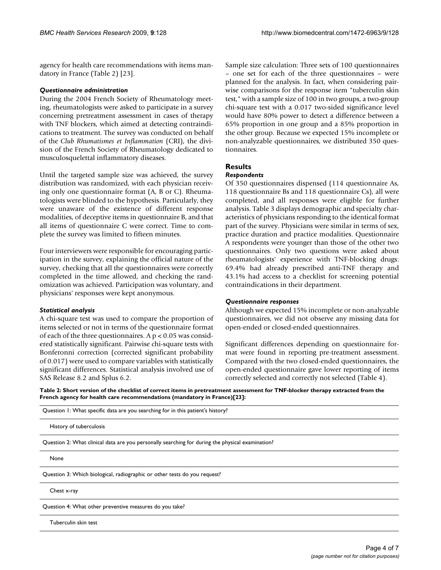agency for health care recommendations with items mandatory in France (Table [2\)](#page-3-0) [\[23](#page-6-14)].

### *Questionnaire administration*

During the 2004 French Society of Rheumatology meeting, rheumatologists were asked to participate in a survey concerning pretreatment assessment in cases of therapy with TNF blockers, which aimed at detecting contraindications to treatment. The survey was conducted on behalf of the *Club Rhumatismes et Inflammation* (CRI), the division of the French Society of Rheumatology dedicated to musculosquelettal inflammatory diseases.

Until the targeted sample size was achieved, the survey distribution was randomized, with each physician receiving only one questionnaire format (A, B or C). Rheumatologists were blinded to the hypothesis. Particularly, they were unaware of the existence of different response modalities, of deceptive items in questionnaire B, and that all items of questionnaire C were correct. Time to complete the survey was limited to fifteen minutes.

Four interviewers were responsible for encouraging participation in the survey, explaining the official nature of the survey, checking that all the questionnaires were correctly completed in the time allowed, and checking the randomization was achieved. Participation was voluntary, and physicians' responses were kept anonymous.

## *Statistical analysis*

A chi-square test was used to compare the proportion of items selected or not in terms of the questionnaire format of each of the three questionnaires. A  $p < 0.05$  was considered statistically significant. Pairwise chi-square tests with Bonferonni correction (corrected significant probability of 0.017) were used to compare variables with statistically significant differences. Statistical analysis involved use of SAS Release 8.2 and Splus 6.2.

Sample size calculation: Three sets of 100 questionnaires – one set for each of the three questionnaires – were planned for the analysis. In fact, when considering pairwise comparisons for the response item "tuberculin skin test," with a sample size of 100 in two groups, a two-group chi-square test with a 0.017 two-sided significance level would have 80% power to detect a difference between a 65% proportion in one group and a 85% proportion in the other group. Because we expected 15% incomplete or non-analyzable questionnaires, we distributed 350 questionnaires.

# **Results**

## *Respondents*

Of 350 questionnaires dispensed (114 questionnaire As, 118 questionnaire Bs and 118 questionnaire Cs), all were completed, and all responses were eligible for further analysis. Table [3](#page-4-0) displays demographic and specialty characteristics of physicians responding to the identical format part of the survey. Physicians were similar in terms of sex, practice duration and practice modalities. Questionnaire A respondents were younger than those of the other two questionnaires. Only two questions were asked about rheumatologists' experience with TNF-blocking drugs: 69.4% had already prescribed anti-TNF therapy and 43.1% had access to a checklist for screening potential contraindications in their department.

## *Questionnaire responses*

Although we expected 15% incomplete or non-analyzable questionnaires, we did not observe any missing data for open-ended or closed-ended questionnaires.

Significant differences depending on questionnaire format were found in reporting pre-treatment assessment. Compared with the two closed-ended questionnaires, the open-ended questionnaire gave lower reporting of items correctly selected and correctly not selected (Table [4](#page-4-1)).

<span id="page-3-0"></span>**Table 2: Short version of the checklist of correct items in pretreatment assessment for TNF-blocker therapy extracted from the French agency for health care recommendations (mandatory in France)[[23\]](#page-6-14):**

Question 1: What specific data are you searching for in this patient's history?

History of tuberculosis

Question 2: What clinical data are you personally searching for during the physical examination?

None

Question 3: Which biological, radiographic or other tests do you request?

Chest x-ray

Question 4: What other preventive measures do you take?

Tuberculin skin test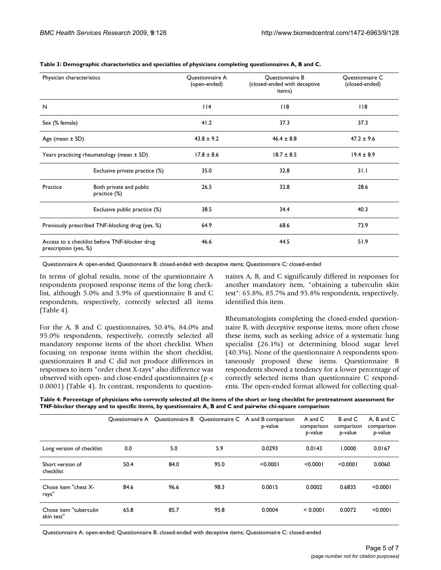| Physician characteristics                                              |                                         | Questionnaire A<br>(open-ended) | Questionnaire B<br>(closed-ended with deceptive<br>items) | Questionnaire C<br>(closed-ended) |  |
|------------------------------------------------------------------------|-----------------------------------------|---------------------------------|-----------------------------------------------------------|-----------------------------------|--|
| N                                                                      |                                         | 14                              | 118                                                       | 118                               |  |
| Sex (% female)                                                         |                                         | 41.2                            | 37.3                                                      | 37.3                              |  |
| Age (mean $\pm$ SD)                                                    |                                         | $43.8 \pm 9.2$                  | $46.4 \pm 8.8$                                            | $47.2 \pm 9.6$                    |  |
| Years practicing rheumatology (mean ± SD)                              |                                         | $17.8 \pm 8.6$                  | $18.7 \pm 8.5$                                            | $19.4 \pm 8.9$                    |  |
|                                                                        | Exclusive private practice (%)          | 35.0                            | 32.8                                                      | 31.1                              |  |
| Practice                                                               | Both private and public<br>practice (%) | 26.5                            | 32.8                                                      | 28.6                              |  |
|                                                                        | Exclusive public practice (%)           | 38.5                            | 34.4                                                      | 40.3                              |  |
| Previously prescribed TNF-blocking drug (yes, %)                       |                                         | 64.9                            | 68.6                                                      | 73.9                              |  |
| Access to a checklist before TNF-blocker drug<br>prescription (yes, %) |                                         | 46.6                            | 44.5                                                      | 51.9                              |  |

#### <span id="page-4-0"></span>**Table 3: Demographic characteristics and specialties of physicians completing questionnaires A, B and C.**

Questionnaire A: open-ended; Questionnaire B: closed-ended with deceptive items; Questionnaire C: closed-ended

In terms of global results, none of the questionnaire A respondents proposed response items of the long checklist, although 5.0% and 5.9% of questionnaire B and C respondents, respectively, correctly selected all items (Table [4\)](#page-4-1).

For the A, B and C questionnaires, 50.4%, 84.0% and 95.0% respondents, respectively, correctly selected all mandatory response items of the short checklist. When focusing on response items within the short checklist, questionnaires B and C did not produce differences in responses to item "order chest X-rays" also difference was observed with open- and close-ended questionnaires (p < 0.0001) (Table [4\)](#page-4-1). In contrast, respondents to questionnaires A, B, and C significantly differed in responses for another mandatory item, "obtaining a tuberculin skin test": 65.8%, 85.7% and 95.8% respondents, respectively, identified this item.

Rheumatologists completing the closed-ended questionnaire B, with deceptive response items, more often chose these items, such as seeking advice of a systematic lung specialist (26.1%) or determining blood sugar level (40.3%). None of the questionnaire A respondents spontaneously proposed these items. Questionnaire B respondents showed a tendency for a lower percentage of correctly selected items than questionnaire C respondents. The open-ended format allowed for collecting qual-

<span id="page-4-1"></span>**Table 4: Percentage of physicians who correctly selected all the items of the short or long checklist for pretreatment assessment for TNF-blocker therapy and to specific items, by questionnaire A, B and C and pairwise chi-square comparison**

|                                      | Ouestionnaire A | Questionnaire B |      | Questionnaire C A and B comparison<br>p-value | A and C<br>comparison<br>p-value | B and C<br>comparison<br>p-value | A. B and C<br>comparison<br>p-value |
|--------------------------------------|-----------------|-----------------|------|-----------------------------------------------|----------------------------------|----------------------------------|-------------------------------------|
| Long version of checklist            | 0.0             | 5.0             | 5.9  | 0.0293                                        | 0.0143                           | 1.0000                           | 0.0167                              |
| Short version of<br>checklist        | 50.4            | 84.0            | 95.0 | < 0.0001                                      | < 0.0001                         | < 0.0001                         | 0.0060                              |
| Chose item "chest X-<br>rays"        | 84.6            | 96.6            | 98.3 | 0.0015                                        | 0.0002                           | 0.6835                           | < 0.0001                            |
| Chose item "tuberculin<br>skin test" | 65.8            | 85.7            | 95.8 | 0.0004                                        | < 0.0001                         | 0.0072                           | < 0.0001                            |

Questionnaire A: open-ended; Questionnaire B: closed-ended with deceptive items; Questionnaire C: closed-ended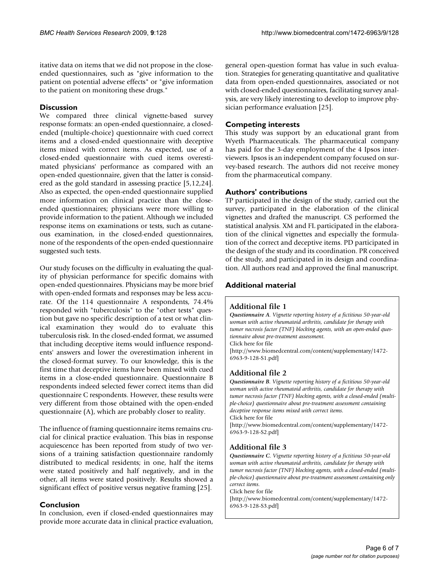itative data on items that we did not propose in the closeended questionnaires, such as "give information to the patient on potential adverse effects" or "give information to the patient on monitoring these drugs."

## **Discussion**

We compared three clinical vignette-based survey response formats: an open-ended questionnaire, a closedended (multiple-choice) questionnaire with cued correct items and a closed-ended questionnaire with deceptive items mixed with correct items. As expected, use of a closed-ended questionnaire with cued items overestimated physicians' performance as compared with an open-ended questionnaire, given that the latter is considered as the gold standard in assessing practice [\[5](#page-6-3),[12](#page-6-6)[,24](#page-6-15)]. Also as expected, the open-ended questionnaire supplied more information on clinical practice than the closeended questionnaires; physicians were more willing to provide information to the patient. Although we included response items on examinations or tests, such as cutaneous examination, in the closed-ended questionnaires, none of the respondents of the open-ended questionnaire suggested such tests.

Our study focuses on the difficulty in evaluating the quality of physician performance for specific domains with open-ended questionnaires. Physicians may be more brief with open-ended formats and responses may be less accurate. Of the 114 questionnaire A respondents, 74.4% responded with "tuberculosis" to the "other tests" question but gave no specific description of a test or what clinical examination they would do to evaluate this tuberculosis risk. In the closed-ended format, we assumed that including deceptive items would influence respondents' answers and lower the overestimation inherent in the closed-format survey. To our knowledge, this is the first time that deceptive items have been mixed with cued items in a close-ended questionnaire. Questionnaire B respondents indeed selected fewer correct items than did questionnaire C respondents. However, these results were very different from those obtained with the open-ended questionnaire (A), which are probably closer to reality.

The influence of framing questionnaire items remains crucial for clinical practice evaluation. This bias in response acquiescence has been reported from study of two versions of a training satisfaction questionnaire randomly distributed to medical residents; in one, half the items were stated positively and half negatively, and in the other, all items were stated positively. Results showed a significant effect of positive versus negative framing [[25](#page-6-16)].

## **Conclusion**

In conclusion, even if closed-ended questionnaires may provide more accurate data in clinical practice evaluation, general open-question format has value in such evaluation. Strategies for generating quantitative and qualitative data from open-ended questionnaires, associated or not with closed-ended questionnaires, facilitating survey analysis, are very likely interesting to develop to improve physician performance evaluation [[25\]](#page-6-16).

## **Competing interests**

This study was support by an educational grant from Wyeth Pharmaceuticals. The pharmaceutical company has paid for the 3-day employment of the 4 Ipsos interviewers. Ipsos is an independent company focused on survey-based research. The authors did not receive money from the pharmaceutical company.

## **Authors' contributions**

TP participated in the design of the study, carried out the survey, participated in the elaboration of the clinical vignettes and drafted the manuscript. CS performed the statistical analysis. XM and FL participated in the elaboration of the clinical vignettes and especially the formulation of the correct and deceptive items. PD participated in the design of the study and its coordination. PR conceived of the study, and participated in its design and coordination. All authors read and approved the final manuscript.

# **Additional material**

## <span id="page-5-0"></span>**Additional file 1**

*Questionnaire A. Vignette reporting history of a fictitious 50-year-old woman with active rheumatoid arthritis, candidate for therapy with tumor necrosis factor (TNF) blocking agents, with an open-ended questionnaire about pre-treatment assessment.*

Click here for file

[\[http://www.biomedcentral.com/content/supplementary/1472-](http://www.biomedcentral.com/content/supplementary/1472-6963-9-128-S1.pdf) 6963-9-128-S1.pdf]

# <span id="page-5-1"></span>**Additional file 2**

*Questionnaire B. Vignette reporting history of a fictitious 50-year-old woman with active rheumatoid arthritis, candidate for therapy with tumor necrosis factor (TNF) blocking agents, with a closed-ended (multiple-choice) questionnaire about pre-treatment assessment containing deceptive response items mixed with correct items.* Click here for file [\[http://www.biomedcentral.com/content/supplementary/1472-](http://www.biomedcentral.com/content/supplementary/1472-6963-9-128-S2.pdf)

6963-9-128-S2.pdf]

# <span id="page-5-2"></span>**Additional file 3**

*Questionnaire C. Vignette reporting history of a fictitious 50-year-old woman with active rheumatoid arthritis, candidate for therapy with tumor necrosis factor (TNF) blocking agents, with a closed-ended (multiple-choice) questionnaire about pre-treatment assessment containing only correct items.*

Click here for file

[\[http://www.biomedcentral.com/content/supplementary/1472-](http://www.biomedcentral.com/content/supplementary/1472-6963-9-128-S3.pdf) 6963-9-128-S3.pdf]